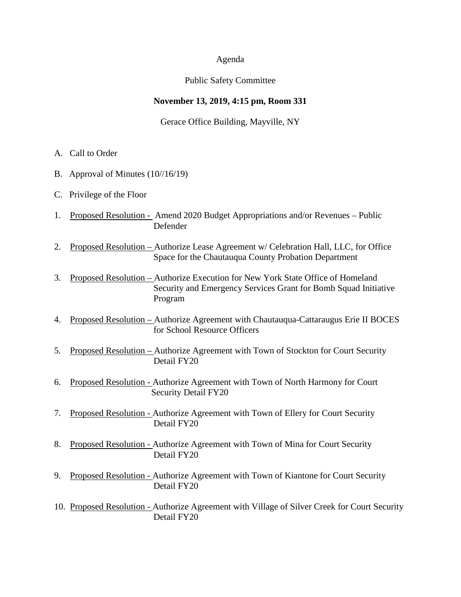#### Agenda

#### Public Safety Committee

#### **November 13, 2019, 4:15 pm, Room 331**

Gerace Office Building, Mayville, NY

- A. Call to Order
- B. Approval of Minutes (10//16/19)
- C. Privilege of the Floor
- 1. Proposed Resolution Amend 2020 Budget Appropriations and/or Revenues Public Defender
- 2. Proposed Resolution Authorize Lease Agreement w/ Celebration Hall, LLC, for Office Space for the Chautauqua County Probation Department
- 3. Proposed Resolution Authorize Execution for New York State Office of Homeland Security and Emergency Services Grant for Bomb Squad Initiative Program
- 4. Proposed Resolution Authorize Agreement with Chautauqua-Cattaraugus Erie II BOCES for School Resource Officers
- 5. Proposed Resolution Authorize Agreement with Town of Stockton for Court Security Detail FY20
- 6. Proposed Resolution Authorize Agreement with Town of North Harmony for Court Security Detail FY20
- 7. Proposed Resolution Authorize Agreement with Town of Ellery for Court Security Detail FY20
- 8. Proposed Resolution Authorize Agreement with Town of Mina for Court Security Detail FY20
- 9. Proposed Resolution Authorize Agreement with Town of Kiantone for Court Security Detail FY20
- 10. Proposed Resolution Authorize Agreement with Village of Silver Creek for Court Security Detail FY20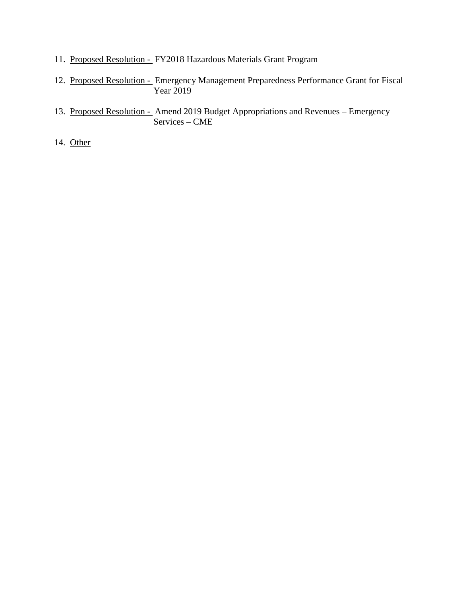- 11. Proposed Resolution FY2018 Hazardous Materials Grant Program
- 12. Proposed Resolution Emergency Management Preparedness Performance Grant for Fiscal Year 2019
- 13. Proposed Resolution Amend 2019 Budget Appropriations and Revenues Emergency Services – CME

14. Other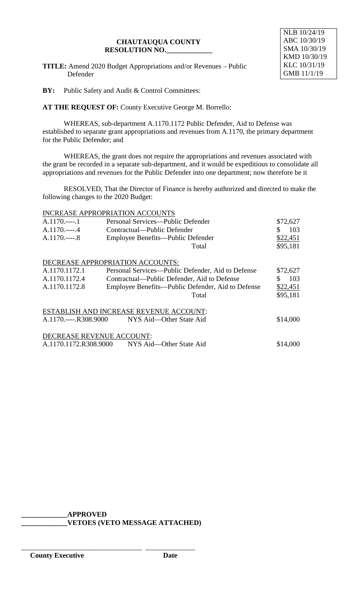**TITLE:** Amend 2020 Budget Appropriations and/or Revenues – Public Defender



**BY:** Public Safety and Audit & Control Committees:

**AT THE REQUEST OF:** County Executive George M. Borrello:

WHEREAS, sub-department A.1170.1172 Public Defender, Aid to Defense was established to separate grant appropriations and revenues from A.1170, the primary department for the Public Defender; and

WHEREAS, the grant does not require the appropriations and revenues associated with the grant be recorded in a separate sub-department, and it would be expeditious to consolidate all appropriations and revenues for the Public Defender into one department; now therefore be it

RESOLVED, That the Director of Finance is hereby authorized and directed to make the following changes to the 2020 Budget:

|                                         | <b>INCREASE APPROPRIATION ACCOUNTS</b>            |           |  |  |
|-----------------------------------------|---------------------------------------------------|-----------|--|--|
| $A.1170$ 1                              | Personal Services—Public Defender                 | \$72,627  |  |  |
| $A.1170---4$                            | Contractual—Public Defender                       | 103<br>S. |  |  |
| $A.1170$ 8                              | Employee Benefits—Public Defender                 | \$22,451  |  |  |
|                                         | Total                                             | \$95,181  |  |  |
|                                         | DECREASE APPROPRIATION ACCOUNTS:                  |           |  |  |
| A.1170.1172.1                           | Personal Services—Public Defender, Aid to Defense | \$72,627  |  |  |
| A.1170.1172.4                           | Contractual—Public Defender, Aid to Defense       | 103<br>S. |  |  |
| A.1170.1172.8                           | Employee Benefits—Public Defender, Aid to Defense | \$22,451  |  |  |
|                                         | Total                                             | \$95,181  |  |  |
| ESTABLISH AND INCREASE REVENUE ACCOUNT: |                                                   |           |  |  |
| A.1170.----.R308.9000                   | NYS Aid—Other State Aid                           | \$14,000  |  |  |
| DECREASE REVENUE ACCOUNT:               |                                                   |           |  |  |
| A.1170.1172.R308.9000                   | NYS Aid—Other State Aid                           | \$14,000  |  |  |

**\_\_\_\_\_\_\_\_\_\_\_\_\_APPROVED**

\_\_\_\_\_\_\_\_\_\_\_\_\_\_\_\_\_\_\_\_\_\_\_\_\_\_\_\_\_\_\_\_\_\_ \_\_\_\_\_\_\_\_\_\_\_\_\_\_

**\_\_\_\_\_\_\_\_\_\_\_\_\_VETOES (VETO MESSAGE ATTACHED)**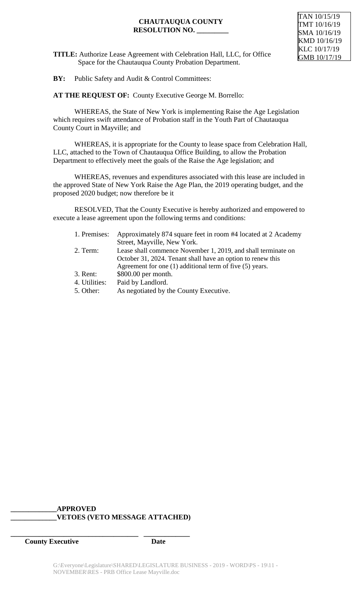**TITLE:** Authorize Lease Agreement with Celebration Hall, LLC, for Office Space for the Chautauqua County Probation Department.

**BY:** Public Safety and Audit & Control Committees:

**AT THE REQUEST OF:** County Executive George M. Borrello:

WHEREAS, the State of New York is implementing Raise the Age Legislation which requires swift attendance of Probation staff in the Youth Part of Chautauqua County Court in Mayville; and

WHEREAS, it is appropriate for the County to lease space from Celebration Hall, LLC, attached to the Town of Chautauqua Office Building, to allow the Probation Department to effectively meet the goals of the Raise the Age legislation; and

WHEREAS, revenues and expenditures associated with this lease are included in the approved State of New York Raise the Age Plan, the 2019 operating budget, and the proposed 2020 budget; now therefore be it

RESOLVED, That the County Executive is hereby authorized and empowered to execute a lease agreement upon the following terms and conditions:

| 1. Premises:  | Approximately 874 square feet in room #4 located at 2 Academy |
|---------------|---------------------------------------------------------------|
|               | Street, Mayville, New York.                                   |
| 2. Term:      | Lease shall commence November 1, 2019, and shall terminate on |
|               | October 31, 2024. Tenant shall have an option to renew this   |
|               | Agreement for one $(1)$ additional term of five $(5)$ years.  |
| 3. Rent:      | \$800.00 per month.                                           |
| 4. Utilities: | Paid by Landlord.                                             |
| 5. Other:     | As negotiated by the County Executive.                        |
|               |                                                               |

## **\_\_\_\_\_\_\_\_\_\_\_\_\_APPROVED \_\_\_\_\_\_\_\_\_\_\_\_\_VETOES (VETO MESSAGE ATTACHED)**

**\_\_\_\_\_\_\_\_\_\_\_\_\_\_\_\_\_\_\_\_\_\_\_\_\_\_\_\_\_\_\_\_\_\_\_\_ \_\_\_\_\_\_\_\_\_\_\_\_\_**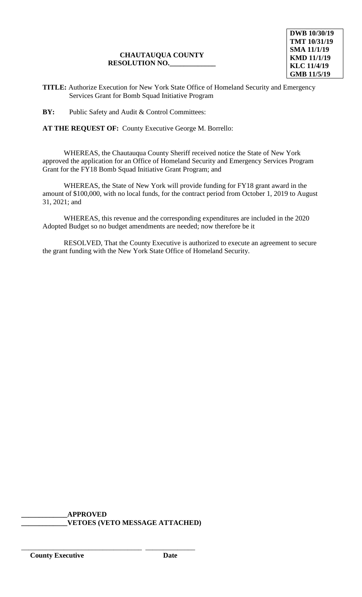**TITLE:** Authorize Execution for New York State Office of Homeland Security and Emergency Services Grant for Bomb Squad Initiative Program

**BY:** Public Safety and Audit & Control Committees:

**AT THE REQUEST OF:** County Executive George M. Borrello:

WHEREAS, the Chautauqua County Sheriff received notice the State of New York approved the application for an Office of Homeland Security and Emergency Services Program Grant for the FY18 Bomb Squad Initiative Grant Program; and

WHEREAS, the State of New York will provide funding for FY18 grant award in the amount of \$100,000, with no local funds, for the contract period from October 1, 2019 to August 31, 2021; and

WHEREAS, this revenue and the corresponding expenditures are included in the 2020 Adopted Budget so no budget amendments are needed; now therefore be it

RESOLVED, That the County Executive is authorized to execute an agreement to secure the grant funding with the New York State Office of Homeland Security.

**\_\_\_\_\_\_\_\_\_\_\_\_\_APPROVED \_\_\_\_\_\_\_\_\_\_\_\_\_VETOES (VETO MESSAGE ATTACHED)**

\_\_\_\_\_\_\_\_\_\_\_\_\_\_\_\_\_\_\_\_\_\_\_\_\_\_\_\_\_\_\_\_\_\_ \_\_\_\_\_\_\_\_\_\_\_\_\_\_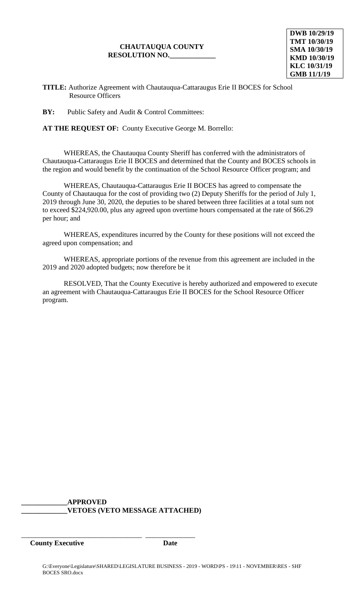**DWB 10/29/19 TMT 10/30/19 SMA 10/30/19 KMD 10/30/19 KLC 10/31/19 GMB 11/1/19**

**TITLE:** Authorize Agreement with Chautauqua-Cattaraugus Erie II BOCES for School Resource Officers

**BY:** Public Safety and Audit & Control Committees:

**AT THE REQUEST OF:** County Executive George M. Borrello:

WHEREAS, the Chautauqua County Sheriff has conferred with the administrators of Chautauqua-Cattaraugus Erie II BOCES and determined that the County and BOCES schools in the region and would benefit by the continuation of the School Resource Officer program; and

WHEREAS, Chautauqua-Cattaraugus Erie II BOCES has agreed to compensate the County of Chautauqua for the cost of providing two (2) Deputy Sheriffs for the period of July 1, 2019 through June 30, 2020, the deputies to be shared between three facilities at a total sum not to exceed \$224,920.00, plus any agreed upon overtime hours compensated at the rate of \$66.29 per hour; and

WHEREAS, expenditures incurred by the County for these positions will not exceed the agreed upon compensation; and

WHEREAS, appropriate portions of the revenue from this agreement are included in the 2019 and 2020 adopted budgets; now therefore be it

RESOLVED, That the County Executive is hereby authorized and empowered to execute an agreement with Chautauqua-Cattaraugus Erie II BOCES for the School Resource Officer program.

**\_\_\_\_\_\_\_\_\_\_\_\_\_APPROVED \_\_\_\_\_\_\_\_\_\_\_\_\_VETOES (VETO MESSAGE ATTACHED)**

\_\_\_\_\_\_\_\_\_\_\_\_\_\_\_\_\_\_\_\_\_\_\_\_\_\_\_\_\_\_\_\_\_\_ \_\_\_\_\_\_\_\_\_\_\_\_\_\_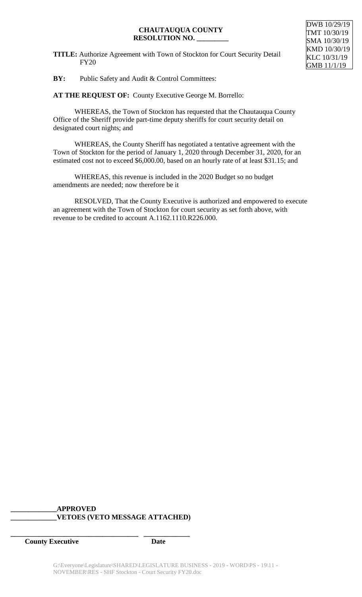**TITLE:** Authorize Agreement with Town of Stockton for Court Security Detail FY20

DWB 10/29/19 TMT 10/30/19 SMA 10/30/19 KMD 10/30/19 KLC 10/31/19 GMB 11/1/19

**BY:** Public Safety and Audit & Control Committees:

**AT THE REQUEST OF:** County Executive George M. Borrello:

WHEREAS, the Town of Stockton has requested that the Chautauqua County Office of the Sheriff provide part-time deputy sheriffs for court security detail on designated court nights; and

WHEREAS, the County Sheriff has negotiated a tentative agreement with the Town of Stockton for the period of January 1, 2020 through December 31, 2020, for an estimated cost not to exceed \$6,000.00, based on an hourly rate of at least \$31.15; and

WHEREAS, this revenue is included in the 2020 Budget so no budget amendments are needed; now therefore be it

RESOLVED, That the County Executive is authorized and empowered to execute an agreement with the Town of Stockton for court security as set forth above, with revenue to be credited to account A.1162.1110.R226.000.

## **\_\_\_\_\_\_\_\_\_\_\_\_\_APPROVED \_\_\_\_\_\_\_\_\_\_\_\_\_VETOES (VETO MESSAGE ATTACHED)**

**\_\_\_\_\_\_\_\_\_\_\_\_\_\_\_\_\_\_\_\_\_\_\_\_\_\_\_\_\_\_\_\_\_\_\_\_ \_\_\_\_\_\_\_\_\_\_\_\_\_**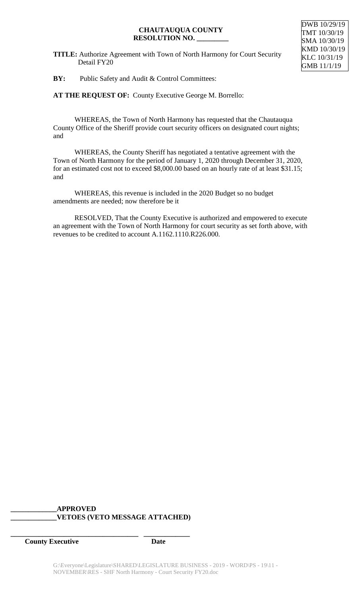**TITLE:** Authorize Agreement with Town of North Harmony for Court Security Detail FY20

**BY:** Public Safety and Audit & Control Committees:

**AT THE REQUEST OF:** County Executive George M. Borrello:

WHEREAS, the Town of North Harmony has requested that the Chautauqua County Office of the Sheriff provide court security officers on designated court nights; and

WHEREAS, the County Sheriff has negotiated a tentative agreement with the Town of North Harmony for the period of January 1, 2020 through December 31, 2020, for an estimated cost not to exceed \$8,000.00 based on an hourly rate of at least \$31.15; and

WHEREAS, this revenue is included in the 2020 Budget so no budget amendments are needed; now therefore be it

RESOLVED, That the County Executive is authorized and empowered to execute an agreement with the Town of North Harmony for court security as set forth above, with revenues to be credited to account A.1162.1110.R226.000.

## **\_\_\_\_\_\_\_\_\_\_\_\_\_APPROVED \_\_\_\_\_\_\_\_\_\_\_\_\_VETOES (VETO MESSAGE ATTACHED)**

**\_\_\_\_\_\_\_\_\_\_\_\_\_\_\_\_\_\_\_\_\_\_\_\_\_\_\_\_\_\_\_\_\_\_\_\_ \_\_\_\_\_\_\_\_\_\_\_\_\_**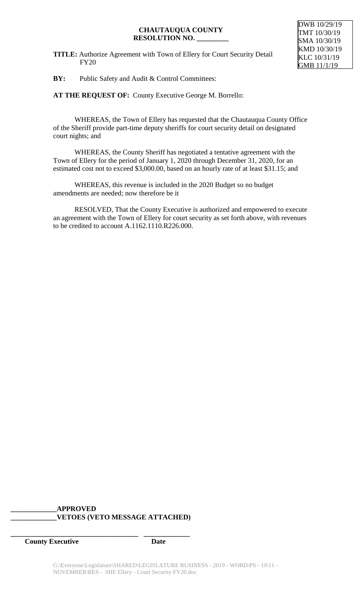**TITLE:** Authorize Agreement with Town of Ellery for Court Security Detail FY20



**BY:** Public Safety and Audit & Control Committees:

**AT THE REQUEST OF:** County Executive George M. Borrello:

WHEREAS, the Town of Ellery has requested that the Chautauqua County Office of the Sheriff provide part-time deputy sheriffs for court security detail on designated court nights; and

WHEREAS, the County Sheriff has negotiated a tentative agreement with the Town of Ellery for the period of January 1, 2020 through December 31, 2020, for an estimated cost not to exceed \$3,000.00, based on an hourly rate of at least \$31.15; and

WHEREAS, this revenue is included in the 2020 Budget so no budget amendments are needed; now therefore be it

RESOLVED, That the County Executive is authorized and empowered to execute an agreement with the Town of Ellery for court security as set forth above, with revenues to be credited to account A.1162.1110.R226.000.

## **\_\_\_\_\_\_\_\_\_\_\_\_\_APPROVED \_\_\_\_\_\_\_\_\_\_\_\_\_VETOES (VETO MESSAGE ATTACHED)**

**\_\_\_\_\_\_\_\_\_\_\_\_\_\_\_\_\_\_\_\_\_\_\_\_\_\_\_\_\_\_\_\_\_\_\_\_ \_\_\_\_\_\_\_\_\_\_\_\_\_**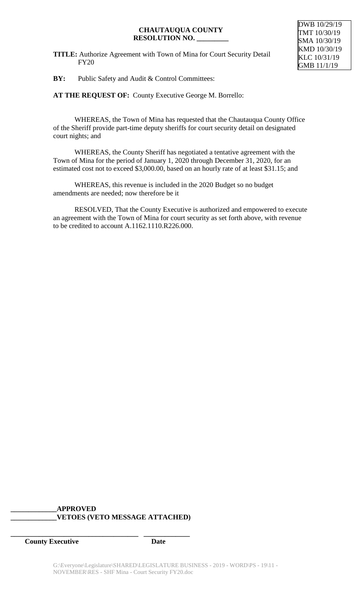**TITLE:** Authorize Agreement with Town of Mina for Court Security Detail FY20



**BY:** Public Safety and Audit & Control Committees:

**AT THE REQUEST OF:** County Executive George M. Borrello:

WHEREAS, the Town of Mina has requested that the Chautauqua County Office of the Sheriff provide part-time deputy sheriffs for court security detail on designated court nights; and

WHEREAS, the County Sheriff has negotiated a tentative agreement with the Town of Mina for the period of January 1, 2020 through December 31, 2020, for an estimated cost not to exceed \$3,000.00, based on an hourly rate of at least \$31.15; and

WHEREAS, this revenue is included in the 2020 Budget so no budget amendments are needed; now therefore be it

RESOLVED, That the County Executive is authorized and empowered to execute an agreement with the Town of Mina for court security as set forth above, with revenue to be credited to account A.1162.1110.R226.000.

## **\_\_\_\_\_\_\_\_\_\_\_\_\_APPROVED \_\_\_\_\_\_\_\_\_\_\_\_\_VETOES (VETO MESSAGE ATTACHED)**

**\_\_\_\_\_\_\_\_\_\_\_\_\_\_\_\_\_\_\_\_\_\_\_\_\_\_\_\_\_\_\_\_\_\_\_\_ \_\_\_\_\_\_\_\_\_\_\_\_\_**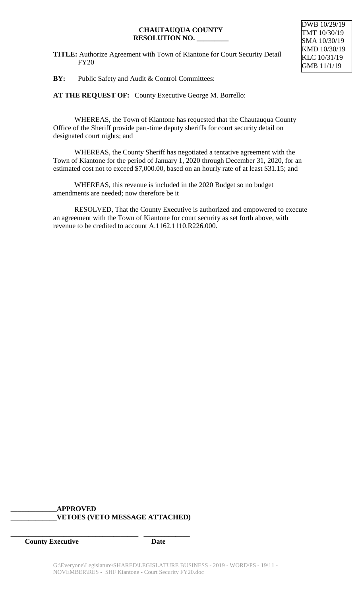**TITLE:** Authorize Agreement with Town of Kiantone for Court Security Detail FY20



**BY:** Public Safety and Audit & Control Committees:

**AT THE REQUEST OF:** County Executive George M. Borrello:

WHEREAS, the Town of Kiantone has requested that the Chautauqua County Office of the Sheriff provide part-time deputy sheriffs for court security detail on designated court nights; and

WHEREAS, the County Sheriff has negotiated a tentative agreement with the Town of Kiantone for the period of January 1, 2020 through December 31, 2020, for an estimated cost not to exceed \$7,000.00, based on an hourly rate of at least \$31.15; and

WHEREAS, this revenue is included in the 2020 Budget so no budget amendments are needed; now therefore be it

RESOLVED, That the County Executive is authorized and empowered to execute an agreement with the Town of Kiantone for court security as set forth above, with revenue to be credited to account A.1162.1110.R226.000.

## **\_\_\_\_\_\_\_\_\_\_\_\_\_APPROVED \_\_\_\_\_\_\_\_\_\_\_\_\_VETOES (VETO MESSAGE ATTACHED)**

**\_\_\_\_\_\_\_\_\_\_\_\_\_\_\_\_\_\_\_\_\_\_\_\_\_\_\_\_\_\_\_\_\_\_\_\_ \_\_\_\_\_\_\_\_\_\_\_\_\_**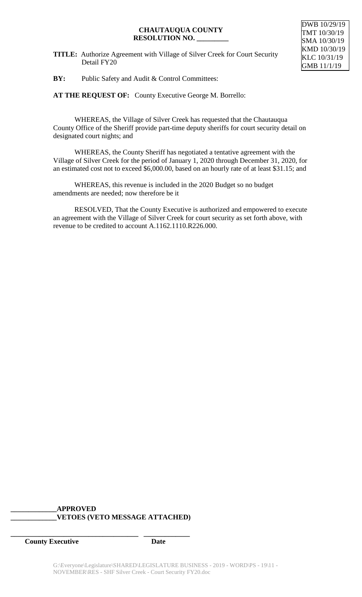**TITLE:** Authorize Agreement with Village of Silver Creek for Court Security Detail FY20



**BY:** Public Safety and Audit & Control Committees:

**AT THE REQUEST OF:** County Executive George M. Borrello:

WHEREAS, the Village of Silver Creek has requested that the Chautauqua County Office of the Sheriff provide part-time deputy sheriffs for court security detail on designated court nights; and

WHEREAS, the County Sheriff has negotiated a tentative agreement with the Village of Silver Creek for the period of January 1, 2020 through December 31, 2020, for an estimated cost not to exceed \$6,000.00, based on an hourly rate of at least \$31.15; and

WHEREAS, this revenue is included in the 2020 Budget so no budget amendments are needed; now therefore be it

RESOLVED, That the County Executive is authorized and empowered to execute an agreement with the Village of Silver Creek for court security as set forth above, with revenue to be credited to account A.1162.1110.R226.000.

## **\_\_\_\_\_\_\_\_\_\_\_\_\_APPROVED \_\_\_\_\_\_\_\_\_\_\_\_\_VETOES (VETO MESSAGE ATTACHED)**

**\_\_\_\_\_\_\_\_\_\_\_\_\_\_\_\_\_\_\_\_\_\_\_\_\_\_\_\_\_\_\_\_\_\_\_\_ \_\_\_\_\_\_\_\_\_\_\_\_\_**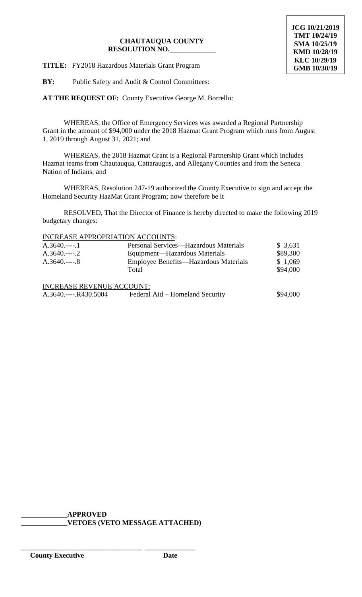**JCG 10/21/2019 TMT 10/24/19 SMA 10/25/19 KMD 10/28/19 KLC 10/29/19 GMB 10/30/19**

**TITLE:** FY2018 Hazardous Materials Grant Program

**BY:** Public Safety and Audit & Control Committees:

**AT THE REQUEST OF:** County Executive George M. Borrello:

WHEREAS, the Office of Emergency Services was awarded a Regional Partnership Grant in the amount of \$94,000 under the 2018 Hazmat Grant Program which runs from August 1, 2019 through August 31, 2021; and

WHEREAS, the 2018 Hazmat Grant is a Regional Partnership Grant which includes Hazmat teams from Chautauqua, Cattaraugus, and Allegany Counties and from the Seneca Nation of Indians; and

WHEREAS, Resolution 247-19 authorized the County Executive to sign and accept the Homeland Security HazMat Grant Program; now therefore be it

RESOLVED, That the Director of Finance is hereby directed to make the following 2019 budgetary changes:

#### INCREASE APPROPRIATION ACCOUNTS:

| $A.3640$ 1                       | Personal Services—Hazardous Materials | \$3,631  |
|----------------------------------|---------------------------------------|----------|
| $A.3640$ 2                       | Equipment—Hazardous Materials         | \$89,300 |
| $A.3640$ 8                       | Employee Benefits—Hazardous Materials | \$1,069  |
|                                  | Total                                 | \$94,000 |
| <b>INCREASE REVENUE ACCOUNT:</b> |                                       |          |
|                                  |                                       |          |
| A.3640.----.R430.5004            | Federal Aid – Homeland Security       | \$94,000 |

**\_\_\_\_\_\_\_\_\_\_\_\_\_APPROVED \_\_\_\_\_\_\_\_\_\_\_\_\_VETOES (VETO MESSAGE ATTACHED)**

\_\_\_\_\_\_\_\_\_\_\_\_\_\_\_\_\_\_\_\_\_\_\_\_\_\_\_\_\_\_\_\_\_\_ \_\_\_\_\_\_\_\_\_\_\_\_\_\_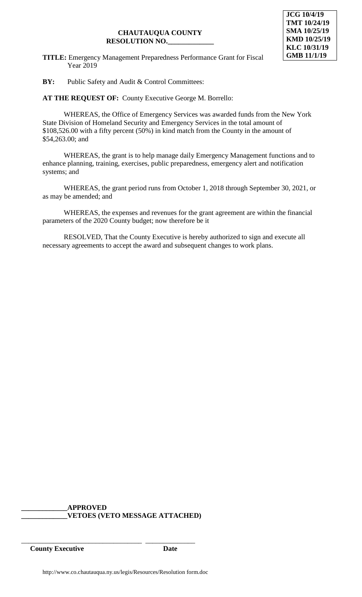**TITLE:** Emergency Management Preparedness Performance Grant for Fiscal Year 2019

**BY:** Public Safety and Audit & Control Committees:

**AT THE REQUEST OF:** County Executive George M. Borrello:

WHEREAS, the Office of Emergency Services was awarded funds from the New York State Division of Homeland Security and Emergency Services in the total amount of \$108,526.00 with a fifty percent (50%) in kind match from the County in the amount of \$54,263.00; and

WHEREAS, the grant is to help manage daily Emergency Management functions and to enhance planning, training, exercises, public preparedness, emergency alert and notification systems; and

WHEREAS, the grant period runs from October 1, 2018 through September 30, 2021, or as may be amended; and

WHEREAS, the expenses and revenues for the grant agreement are within the financial parameters of the 2020 County budget; now therefore be it

RESOLVED, That the County Executive is hereby authorized to sign and execute all necessary agreements to accept the award and subsequent changes to work plans.

**\_\_\_\_\_\_\_\_\_\_\_\_\_APPROVED \_\_\_\_\_\_\_\_\_\_\_\_\_VETOES (VETO MESSAGE ATTACHED)**

\_\_\_\_\_\_\_\_\_\_\_\_\_\_\_\_\_\_\_\_\_\_\_\_\_\_\_\_\_\_\_\_\_\_ \_\_\_\_\_\_\_\_\_\_\_\_\_\_ **County Executive Date**